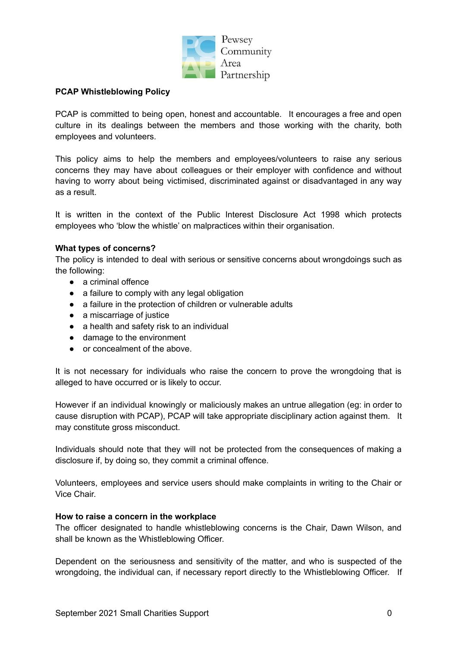

## **PCAP Whistleblowing Policy**

PCAP is committed to being open, honest and accountable. It encourages a free and open culture in its dealings between the members and those working with the charity, both employees and volunteers.

This policy aims to help the members and employees/volunteers to raise any serious concerns they may have about colleagues or their employer with confidence and without having to worry about being victimised, discriminated against or disadvantaged in any way as a result.

It is written in the context of the Public Interest Disclosure Act 1998 which protects employees who 'blow the whistle' on malpractices within their organisation.

# **What types of concerns?**

The policy is intended to deal with serious or sensitive concerns about wrongdoings such as the following:

- a criminal offence
- a failure to comply with any legal obligation
- a failure in the protection of children or vulnerable adults
- a miscarriage of justice
- a health and safety risk to an individual
- damage to the environment
- or concealment of the above.

It is not necessary for individuals who raise the concern to prove the wrongdoing that is alleged to have occurred or is likely to occur.

However if an individual knowingly or maliciously makes an untrue allegation (eg: in order to cause disruption with PCAP), PCAP will take appropriate disciplinary action against them. It may constitute gross misconduct.

Individuals should note that they will not be protected from the consequences of making a disclosure if, by doing so, they commit a criminal offence.

Volunteers, employees and service users should make complaints in writing to the Chair or Vice Chair.

#### **How to raise a concern in the workplace**

The officer designated to handle whistleblowing concerns is the Chair, Dawn Wilson, and shall be known as the Whistleblowing Officer.

Dependent on the seriousness and sensitivity of the matter, and who is suspected of the wrongdoing, the individual can, if necessary report directly to the Whistleblowing Officer. If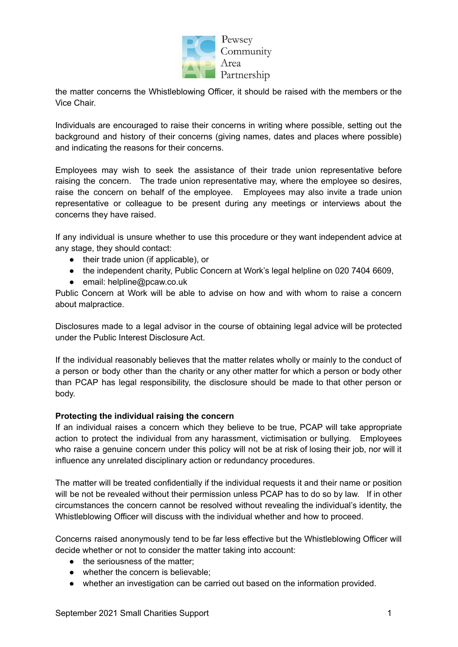

the matter concerns the Whistleblowing Officer, it should be raised with the members or the Vice Chair.

Individuals are encouraged to raise their concerns in writing where possible, setting out the background and history of their concerns (giving names, dates and places where possible) and indicating the reasons for their concerns.

Employees may wish to seek the assistance of their trade union representative before raising the concern. The trade union representative may, where the employee so desires, raise the concern on behalf of the employee. Employees may also invite a trade union representative or colleague to be present during any meetings or interviews about the concerns they have raised.

If any individual is unsure whether to use this procedure or they want independent advice at any stage, they should contact:

- their trade union (if applicable), or
- the independent charity, Public Concern at Work's legal helpline on 020 7404 6609,
- email: helpline@pcaw.co.uk

Public Concern at Work will be able to advise on how and with whom to raise a concern about malpractice.

Disclosures made to a legal advisor in the course of obtaining legal advice will be protected under the Public Interest Disclosure Act.

If the individual reasonably believes that the matter relates wholly or mainly to the conduct of a person or body other than the charity or any other matter for which a person or body other than PCAP has legal responsibility, the disclosure should be made to that other person or body.

#### **Protecting the individual raising the concern**

If an individual raises a concern which they believe to be true, PCAP will take appropriate action to protect the individual from any harassment, victimisation or bullying. Employees who raise a genuine concern under this policy will not be at risk of losing their job, nor will it influence any unrelated disciplinary action or redundancy procedures.

The matter will be treated confidentially if the individual requests it and their name or position will be not be revealed without their permission unless PCAP has to do so by law. If in other circumstances the concern cannot be resolved without revealing the individual's identity, the Whistleblowing Officer will discuss with the individual whether and how to proceed.

Concerns raised anonymously tend to be far less effective but the Whistleblowing Officer will decide whether or not to consider the matter taking into account:

- the seriousness of the matter:
- whether the concern is believable;
- whether an investigation can be carried out based on the information provided.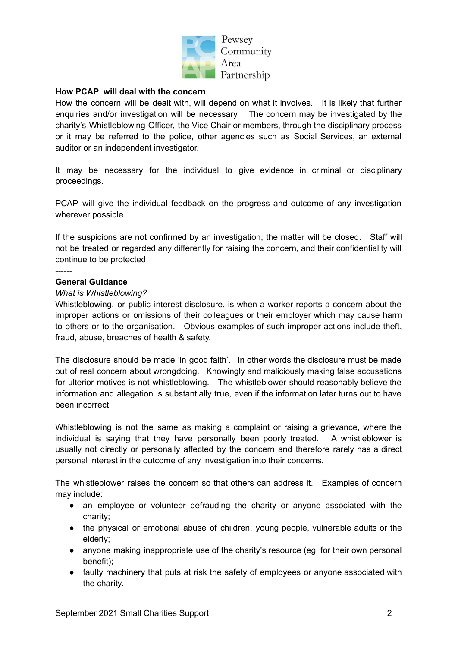

Pewsey Community Area Partnership

# **How PCAP will deal with the concern**

How the concern will be dealt with, will depend on what it involves. It is likely that further enquiries and/or investigation will be necessary. The concern may be investigated by the charity's Whistleblowing Officer, the Vice Chair or members, through the disciplinary process or it may be referred to the police, other agencies such as Social Services, an external auditor or an independent investigator.

It may be necessary for the individual to give evidence in criminal or disciplinary proceedings.

PCAP will give the individual feedback on the progress and outcome of any investigation wherever possible.

If the suspicions are not confirmed by an investigation, the matter will be closed. Staff will not be treated or regarded any differently for raising the concern, and their confidentiality will continue to be protected.

#### ------

#### **General Guidance**

#### *What is Whistleblowing?*

Whistleblowing, or public interest disclosure, is when a worker reports a concern about the improper actions or omissions of their colleagues or their employer which may cause harm to others or to the organisation. Obvious examples of such improper actions include theft, fraud, abuse, breaches of health & safety.

The disclosure should be made 'in good faith'. In other words the disclosure must be made out of real concern about wrongdoing. Knowingly and maliciously making false accusations for ulterior motives is not whistleblowing. The whistleblower should reasonably believe the information and allegation is substantially true, even if the information later turns out to have been incorrect.

Whistleblowing is not the same as making a complaint or raising a grievance, where the individual is saying that they have personally been poorly treated. A whistleblower is usually not directly or personally affected by the concern and therefore rarely has a direct personal interest in the outcome of any investigation into their concerns.

The whistleblower raises the concern so that others can address it. Examples of concern may include:

- an employee or volunteer defrauding the charity or anyone associated with the charity;
- the physical or emotional abuse of children, young people, vulnerable adults or the elderly;
- anyone making inappropriate use of the charity's resource (eg: for their own personal benefit);
- faulty machinery that puts at risk the safety of employees or anyone associated with the charity.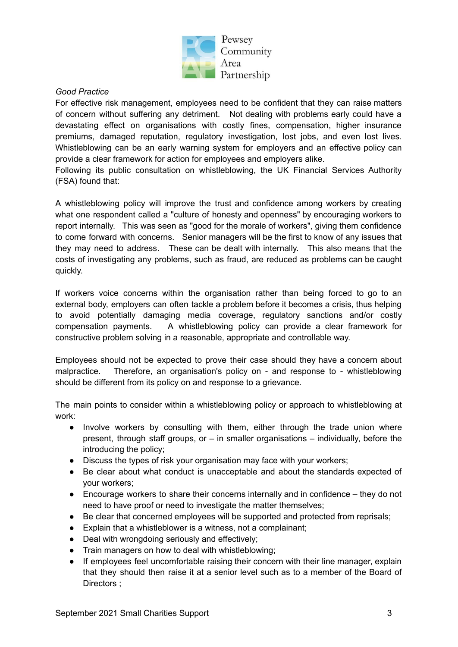

### *Good Practice*

For effective risk management, employees need to be confident that they can raise matters of concern without suffering any detriment. Not dealing with problems early could have a devastating effect on organisations with costly fines, compensation, higher insurance premiums, damaged reputation, regulatory investigation, lost jobs, and even lost lives. Whistleblowing can be an early warning system for employers and an effective policy can provide a clear framework for action for employees and employers alike.

Following its public consultation on whistleblowing, the UK Financial Services Authority (FSA) found that:

A whistleblowing policy will improve the trust and confidence among workers by creating what one respondent called a "culture of honesty and openness" by encouraging workers to report internally. This was seen as "good for the morale of workers", giving them confidence to come forward with concerns. Senior managers will be the first to know of any issues that they may need to address. These can be dealt with internally. This also means that the costs of investigating any problems, such as fraud, are reduced as problems can be caught quickly.

If workers voice concerns within the organisation rather than being forced to go to an external body, employers can often tackle a problem before it becomes a crisis, thus helping to avoid potentially damaging media coverage, regulatory sanctions and/or costly compensation payments. A whistleblowing policy can provide a clear framework for constructive problem solving in a reasonable, appropriate and controllable way.

Employees should not be expected to prove their case should they have a concern about malpractice. Therefore, an organisation's policy on - and response to - whistleblowing should be different from its policy on and response to a grievance.

The main points to consider within a whistleblowing policy or approach to whistleblowing at work:

- Involve workers by consulting with them, either through the trade union where present, through staff groups, or – in smaller organisations – individually, before the introducing the policy;
- Discuss the types of risk your organisation may face with your workers;
- Be clear about what conduct is unacceptable and about the standards expected of your workers;
- Encourage workers to share their concerns internally and in confidence they do not need to have proof or need to investigate the matter themselves;
- Be clear that concerned employees will be supported and protected from reprisals;
- Explain that a whistleblower is a witness, not a complainant;
- Deal with wrongdoing seriously and effectively;
- Train managers on how to deal with whistleblowing;
- If employees feel uncomfortable raising their concern with their line manager, explain that they should then raise it at a senior level such as to a member of the Board of Directors ;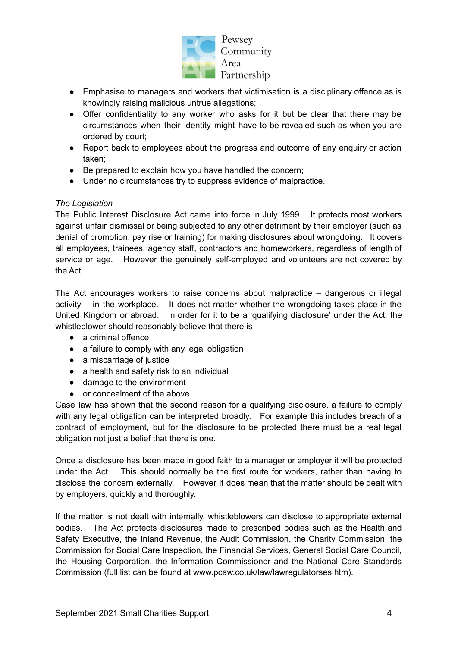

Pewsey Community Area Partnership

- Emphasise to managers and workers that victimisation is a disciplinary offence as is knowingly raising malicious untrue allegations;
- Offer confidentiality to any worker who asks for it but be clear that there may be circumstances when their identity might have to be revealed such as when you are ordered by court;
- Report back to employees about the progress and outcome of any enquiry or action taken;
- Be prepared to explain how you have handled the concern;
- Under no circumstances try to suppress evidence of malpractice.

# *The Legislation*

The Public Interest Disclosure Act came into force in July 1999. It protects most workers against unfair dismissal or being subjected to any other detriment by their employer (such as denial of promotion, pay rise or training) for making disclosures about wrongdoing. It covers all employees, trainees, agency staff, contractors and homeworkers, regardless of length of service or age. However the genuinely self-employed and volunteers are not covered by the Act.

The Act encourages workers to raise concerns about malpractice – dangerous or illegal activity – in the workplace. It does not matter whether the wrongdoing takes place in the United Kingdom or abroad. In order for it to be a 'qualifying disclosure' under the Act, the whistleblower should reasonably believe that there is

- a criminal offence
- a failure to comply with any legal obligation
- a miscarriage of justice
- a health and safety risk to an individual
- damage to the environment
- or concealment of the above.

Case law has shown that the second reason for a qualifying disclosure, a failure to comply with any legal obligation can be interpreted broadly. For example this includes breach of a contract of employment, but for the disclosure to be protected there must be a real legal obligation not just a belief that there is one.

Once a disclosure has been made in good faith to a manager or employer it will be protected under the Act. This should normally be the first route for workers, rather than having to disclose the concern externally. However it does mean that the matter should be dealt with by employers, quickly and thoroughly.

If the matter is not dealt with internally, whistleblowers can disclose to appropriate external bodies. The Act protects disclosures made to prescribed bodies such as the Health and Safety Executive, the Inland Revenue, the Audit Commission, the Charity Commission, the Commission for Social Care Inspection, the Financial Services, General Social Care Council, the Housing Corporation, the Information Commissioner and the National Care Standards Commission (full list can be found at www.pcaw.co.uk/law/lawregulatorses.htm).